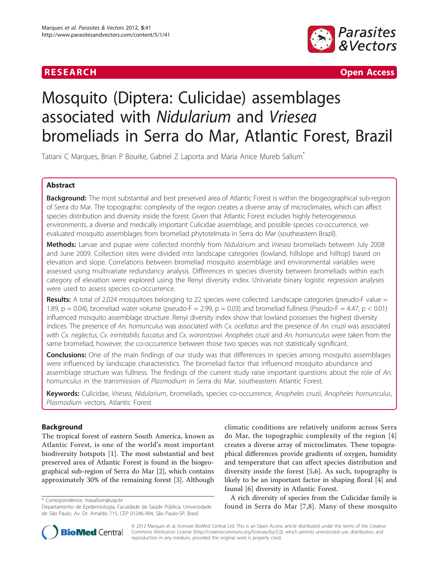

**RESEARCH CONTROL** CONTROL CONTROL CONTROL CONTROL CONTROL CONTROL CONTROL CONTROL CONTROL CONTROL CONTROL CONTROL CONTROL CONTROL CONTROL CONTROL CONTROL CONTROL CONTROL CONTROL CONTROL CONTROL CONTROL CONTROL CONTROL CON

# Mosquito (Diptera: Culicidae) assemblages associated with Nidularium and Vriesea bromeliads in Serra do Mar, Atlantic Forest, Brazil

Tatiani C Marques, Brian P Bourke, Gabriel Z Laporta and Maria Anice Mureb Sallum\*

# Abstract

**Background:** The most substantial and best preserved area of Atlantic Forest is within the biogeographical sub-region of Serra do Mar. The topographic complexity of the region creates a diverse array of microclimates, which can affect species distribution and diversity inside the forest. Given that Atlantic Forest includes highly heterogeneous environments, a diverse and medically important Culicidae assemblage, and possible species co-occurrence, we evaluated mosquito assemblages from bromeliad phytotelmata in Serra do Mar (southeastern Brazil).

Methods: Larvae and pupae were collected monthly from Nidularium and Vriesea bromeliads between July 2008 and June 2009. Collection sites were divided into landscape categories (lowland, hillslope and hilltop) based on elevation and slope. Correlations between bromeliad mosquito assemblage and environmental variables were assessed using multivariate redundancy analysis. Differences in species diversity between bromeliads within each category of elevation were explored using the Renyi diversity index. Univariate binary logistic regression analyses were used to assess species co-occurrence.

Results: A total of 2,024 mosquitoes belonging to 22 species were collected. Landscape categories (pseudo-F value = 1.89,  $p = 0.04$ ), bromeliad water volume (pseudo- $F = 2.99$ ,  $p = 0.03$ ) and bromeliad fullness (Pseudo-F = 4.47,  $p < 0.01$ ) influenced mosquito assemblage structure. Renyi diversity index show that lowland possesses the highest diversity indices. The presence of An. homunculus was associated with Cx. ocellatus and the presence of An. cruzii was associated with Cx. neglectus, Cx. inimitabilis fuscatus and Cx. worontzowi. Anopheles cruzii and An. homunculus were taken from the same bromeliad, however, the co-occurrence between those two species was not statistically significant.

**Conclusions:** One of the main findings of our study was that differences in species among mosquito assemblages were influenced by landscape characteristics. The bromeliad factor that influenced mosquito abundance and assemblage structure was fullness. The findings of the current study raise important questions about the role of An. homunculus in the transmission of Plasmodium in Serra do Mar, southeastern Atlantic Forest.

Keywords: Culicidae, Vriesea, Nidularium, bromeliads, species co-occurrence, Anopheles cruzii, Anopheles homunculus, Plasmodium vectors, Atlantic Forest

# Background

The tropical forest of eastern South America, known as Atlantic Forest, is one of the world's most important biodiversity hotspots [[1\]](#page-7-0). The most substantial and best preserved area of Atlantic Forest is found in the biogeographical sub-region of Serra do Mar [[2\]](#page-7-0), which contains approximately 30% of the remaining forest [[3\]](#page-7-0). Although

\* Correspondence: [masallum@usp.br](mailto:masallum@usp.br)

climatic conditions are relatively uniform across Serra do Mar, the topographic complexity of the region [\[4](#page-7-0)] creates a diverse array of microclimates. These topographical differences provide gradients of oxygen, humidity and temperature that can affect species distribution and diversity inside the forest [[5,6](#page-7-0)]. As such, topography is likely to be an important factor in shaping floral [\[4](#page-7-0)] and faunal [[6\]](#page-7-0) diversity in Atlantic Forest.

A rich diversity of species from the Culicidae family is found in Serra do Mar [[7,8](#page-7-0)]. Many of these mosquito



© 2012 Marques et al; licensee BioMed Central Ltd. This is an Open Access article distributed under the terms of the Creative Commons Attribution License [\(http://creativecommons.org/licenses/by/2.0](http://creativecommons.org/licenses/by/2.0)), which permits unrestricted use, distribution, and reproduction in any medium, provided the original work is properly cited.

Departamento de Epidemiologia, Faculdade de Saúde Pública, Universidade de São Paulo, Av. Dr. Arnaldo 715, CEP 01246-904, São Paulo-SP, Brasil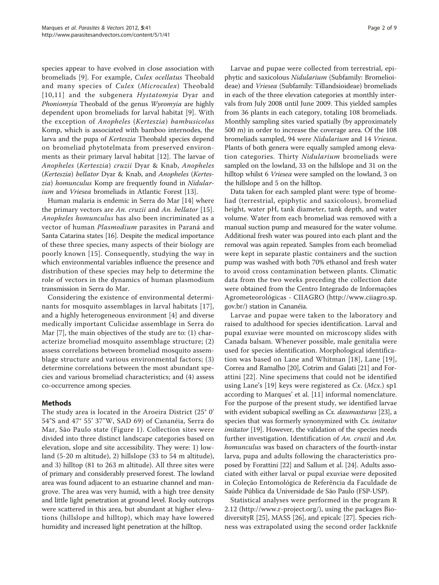species appear to have evolved in close association with bromeliads [[9](#page-7-0)]. For example, Culex ocellatus Theobald and many species of Culex (Microculex) Theobald [[10](#page-7-0),[11](#page-7-0)] and the subgenera Hystatomyia Dyar and Phoniomyia Theobald of the genus Wyeomyia are highly dependent upon bromeliads for larval habitat [\[9](#page-7-0)]. With the exception of Anopheles (Kerteszia) bambusicolus Komp, which is associated with bamboo internodes, the larva and the pupa of Kerteszia Theobald species depend on bromeliad phytotelmata from preserved environments as their primary larval habitat [\[12](#page-7-0)]. The larvae of Anopheles (Kerteszia) cruzii Dyar & Knab, Anopheles (Kerteszia) bellator Dyar & Knab, and Anopheles (Kerteszia) homunculus Komp are frequently found in Nidular-ium and Vriesea bromeliads in Atlantic Forest [[13](#page-7-0)].

Human malaria is endemic in Serra do Mar [[14\]](#page-7-0) where the primary vectors are An. cruzii and An. bellator [[15](#page-7-0)]. Anopheles homunculus has also been incriminated as a vector of human Plasmodium parasites in Paraná and Santa Catarina states [[16](#page-7-0)]. Despite the medical importance of these three species, many aspects of their biology are poorly known [[15](#page-7-0)]. Consequently, studying the way in which environmental variables influence the presence and distribution of these species may help to determine the role of vectors in the dynamics of human plasmodium transmission in Serra do Mar.

Considering the existence of environmental determinants for mosquito assemblages in larval habitats [[17\]](#page-7-0), and a highly heterogeneous environment [\[4](#page-7-0)] and diverse medically important Culicidae assemblage in Serra do Mar [[7\]](#page-7-0), the main objectives of the study are to: (1) characterize bromeliad mosquito assemblage structure; (2) assess correlations between bromeliad mosquito assemblage structure and various environmental factors; (3) determine correlations between the most abundant species and various bromeliad characteristics; and (4) assess co-occurrence among species.

# Methods

The study area is located in the Aroeira District (25° 0' 54"S and 47° 55' 37"W, SAD 69) of Cananéia, Serra do Mar, São Paulo state (Figure [1](#page-2-0)). Collection sites were divided into three distinct landscape categories based on elevation, slope and site accessibility. They were: 1) lowland (5-20 m altitude), 2) hillslope (33 to 54 m altitude), and 3) hilltop (81 to 263 m altitude). All three sites were of primary and considerably preserved forest. The lowland area was found adjacent to an estuarine channel and mangrove. The area was very humid, with a high tree density and little light penetration at ground level. Rocky outcrops were scattered in this area, but abundant at higher elevations (hillslope and hilltop), which may have lowered humidity and increased light penetration at the hilltop.

Larvae and pupae were collected from terrestrial, epiphytic and saxicolous Nidularium (Subfamily: Bromelioideae) and Vriesea (Subfamily: Tillandsioideae) bromeliads in each of the three elevation categories at monthly intervals from July 2008 until June 2009. This yielded samples from 36 plants in each category, totaling 108 bromeliads. Monthly sampling sites varied spatially (by approximately 500 m) in order to increase the coverage area. Of the 108 bromeliads sampled, 94 were Nidularium and 14 Vriesea. Plants of both genera were equally sampled among elevation categories. Thirty Nidularium bromeliads were sampled on the lowland, 33 on the hillslope and 31 on the hilltop whilst 6 Vriesea were sampled on the lowland, 3 on the hillslope and 5 on the hilltop.

Data taken for each sampled plant were: type of bromeliad (terrestrial, epiphytic and saxicolous), bromeliad height, water pH, tank diameter, tank depth, and water volume. Water from each bromeliad was removed with a manual suction pump and measured for the water volume. Additional fresh water was poured into each plant and the removal was again repeated. Samples from each bromeliad were kept in separate plastic containers and the suction pump was washed with both 70% ethanol and fresh water to avoid cross contamination between plants. Climatic data from the two weeks preceding the collection date were obtained from the Centro Integrado de Informações Agrometeorológicas - CIIAGRO ([http://www.ciiagro.sp.](http://www.ciiagro.sp.gov.br/) [gov.br/\)](http://www.ciiagro.sp.gov.br/) station in Cananéia.

Larvae and pupae were taken to the laboratory and raised to adulthood for species identification. Larval and pupal exuviae were mounted on microscopy slides with Canada balsam. Whenever possible, male genitalia were used for species identification. Morphological identification was based on Lane and Whitman [[18](#page-7-0)], Lane [[19\]](#page-7-0), Correa and Ramalho [\[20\]](#page-7-0), Cotrim and Galati [[21](#page-7-0)] and Forattini [\[22\]](#page-7-0). Nine specimens that could not be identified using Lane's [\[19](#page-7-0)] keys were registered as  $Cx$ . (Mcx.) sp1 according to Marques' et al. [[11\]](#page-7-0) informal nomenclature. For the purpose of the present study, we identified larvae with evident subapical swelling as Cx. daumasturus [[23](#page-7-0)], a species that was formerly synonymized with Cx. imitator imitator [\[19\]](#page-7-0). However, the validation of the species needs further investigation. Identification of An. cruzii and An. homunculus was based on characters of the fourth-instar larva, pupa and adults following the characteristics proposed by Forattini [\[22\]](#page-7-0) and Sallum et al. [\[24](#page-7-0)]. Adults associated with either larval or pupal exuviae were deposited in Coleção Entomológica de Referência da Faculdade de Saúde Pública da Universidade de São Paulo (FSP-USP).

Statistical analyses were performed in the program R 2.12 ([http://www.r-project.org/\)](http://www.r-project.org/), using the packages BiodiversityR [[25](#page-7-0)], MASS [\[26\]](#page-7-0), and epicalc [\[27\]](#page-7-0). Species richness was extrapolated using the second order Jackknife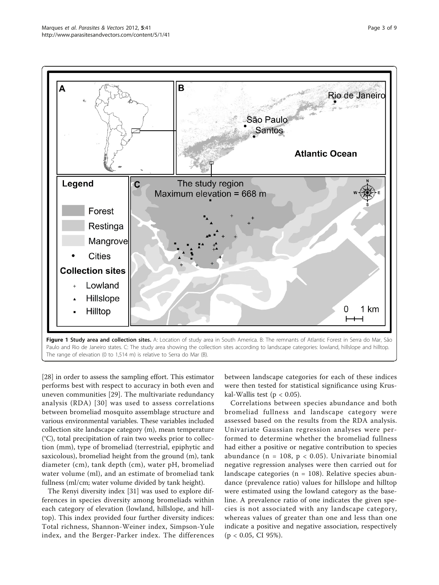<span id="page-2-0"></span>

[[28\]](#page-7-0) in order to assess the sampling effort. This estimator performs best with respect to accuracy in both even and uneven communities [\[29](#page-7-0)]. The multivariate redundancy analysis (RDA) [\[30](#page-7-0)] was used to assess correlations between bromeliad mosquito assemblage structure and various environmental variables. These variables included collection site landscape category (m), mean temperature (°C), total precipitation of rain two weeks prior to collection (mm), type of bromeliad (terrestrial, epiphytic and saxicolous), bromeliad height from the ground (m), tank diameter (cm), tank depth (cm), water pH, bromeliad water volume (ml), and an estimate of bromeliad tank fullness (ml/cm; water volume divided by tank height).

The Renyi diversity index [[31](#page-7-0)] was used to explore differences in species diversity among bromeliads within each category of elevation (lowland, hillslope, and hilltop). This index provided four further diversity indices: Total richness, Shannon-Weiner index, Simpson-Yule index, and the Berger-Parker index. The differences

between landscape categories for each of these indices were then tested for statistical significance using Kruskal-Wallis test ( $p < 0.05$ ).

Correlations between species abundance and both bromeliad fullness and landscape category were assessed based on the results from the RDA analysis. Univariate Gaussian regression analyses were performed to determine whether the bromeliad fullness had either a positive or negative contribution to species abundance (n = 108, p < 0.05). Univariate binomial negative regression analyses were then carried out for landscape categories ( $n = 108$ ). Relative species abundance (prevalence ratio) values for hillslope and hilltop were estimated using the lowland category as the baseline. A prevalence ratio of one indicates the given species is not associated with any landscape category, whereas values of greater than one and less than one indicate a positive and negative association, respectively (p < 0.05, CI 95%).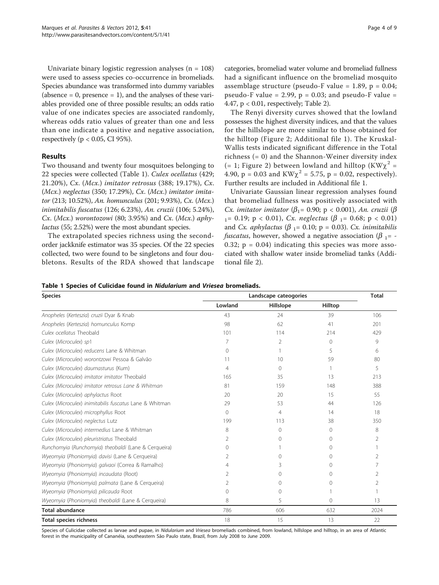<span id="page-3-0"></span>Univariate binary logistic regression analyses ( $n = 108$ ) were used to assess species co-occurrence in bromeliads. Species abundance was transformed into dummy variables (absence  $= 0$ , presence  $= 1$ ), and the analyses of these variables provided one of three possible results; an odds ratio value of one indicates species are associated randomly, whereas odds ratio values of greater than one and less than one indicate a positive and negative association, respectively ( $p < 0.05$ , CI 95%).

# Results

Two thousand and twenty four mosquitoes belonging to 22 species were collected (Table 1). Culex ocellatus (429; 21.20%), Cx. (Mcx.) imitator retrosus (388; 19.17%), Cx. (Mcx.) neglectus (350; 17.29%), Cx. (Mcx.) imitator imitator (213; 10.52%), An. homunculus (201; 9.93%), Cx. (Mcx.) inimitabilis fuscatus (126; 6.23%), An. cruzii (106; 5.24%), Cx. (Mcx.) worontozowi (80; 3.95%) and Cx. (Mcx.) aphylactus (55; 2.52%) were the most abundant species.

The extrapolated species richness using the secondorder jackknife estimator was 35 species. Of the 22 species collected, two were found to be singletons and four doubletons. Results of the RDA showed that landscape

categories, bromeliad water volume and bromeliad fullness had a significant influence on the bromeliad mosquito assemblage structure (pseudo-F value =  $1.89$ , p =  $0.04$ ; pseudo-F value = 2.99,  $p = 0.03$ ; and pseudo-F value = 4.47, p < 0.01, respectively; Table [2\)](#page-4-0).

The Renyi diversity curves showed that the lowland possesses the highest diversity indices, and that the values for the hillslope are more similar to those obtained for the hilltop (Figure [2;](#page-4-0) Additional file [1\)](#page-6-0). The Kruskal-Wallis tests indicated significant difference in the Total richness (= 0) and the Shannon-Weiner diversity index (= 1; Figure [2\)](#page-4-0) between lowland and hilltop ( $KW\chi^2$  = 4.90, p = 0.03 and  $KW\chi^2 = 5.75$ , p = 0.02, respectively). Further results are included in Additional file [1](#page-6-0).

Univariate Gaussian linear regression analyses found that bromeliad fullness was positively associated with Cx. imitator imitator ( $\beta_1$ = 0.90; p < 0.001), An. cruzii ( $\beta$  $_{1}$ = 0.19; p < 0.01), Cx. neglectus ( $\beta$  <sub>1</sub>= 0.68; p < 0.01) and Cx. aphylactus ( $\beta$ <sub>1</sub> = 0.10; p = 0.03). Cx. inimitabilis *fuscatus*, however, showed a negative association ( $\beta$  <sub>1</sub>= -0.32;  $p = 0.04$ ) indicating this species was more associated with shallow water inside bromeliad tanks (Additional file [2](#page-6-0)).

|  |  |  | Table 1 Species of Culicidae found in Nidularium and Vriesea bromeliads. |  |  |
|--|--|--|--------------------------------------------------------------------------|--|--|
|--|--|--|--------------------------------------------------------------------------|--|--|

| <b>Species</b>                                          | Landscape cateogories |                |         | <b>Total</b> |
|---------------------------------------------------------|-----------------------|----------------|---------|--------------|
|                                                         | Lowland               | Hillslope      | Hilltop |              |
| Anopheles (Kerteszia) cruzii Dyar & Knab                | 43                    | 24             | 39      | 106          |
| Anopheles (Kerteszia) homunculus Komp                   | 98                    | 62             | 41      | 201          |
| Culex ocellatus Theobald                                | 101                   | 114            | 214     | 429          |
| Culex (Microculex) sp1                                  |                       | 2              | 0       | 9            |
| Culex (Microculex) reducens Lane & Whitman              | 0                     |                | 5       | 6            |
| Culex (Microculex) worontzowi Pessoa & Galvão           | 11                    | 10             | 59      | 80           |
| Culex (Microculex) daumasturus (Kum)                    | 4                     | $\Omega$       |         | 5            |
| Culex (Microculex) imitator imitator Theobald           | 165                   | 35             | 13      | 213          |
| Culex (Microculex) imitator retrosus Lane & Whitman     | 81                    | 159            | 148     | 388          |
| Culex (Microculex) aphylactus Root                      | 20                    | 20             | 15      | 55           |
| Culex (Microculex) inimitabilis fuscatus Lane & Whitman | 29                    | 53             | 44      | 126          |
| Culex (Microculex) microphyllus Root                    | $\Omega$              | $\overline{4}$ | 14      | 18           |
| Culex (Microculex) neglectus Lutz                       | 199                   | 113            | 38      | 350          |
| Culex (Microculex) intermedius Lane & Whitman           | 8                     | $\Omega$       | 0       | 8            |
| Culex (Microculex) pleuristriatus Theobald              | 2                     | Ω              | 0       | 2            |
| Runchomyia (Runchomyia) theobaldi (Lane & Cerqueira)    | O                     |                | 0       |              |
| Wyeomyia (Phoniomyia) davisi (Lane & Cerqueira)         | 2                     | 0              | ∩       | 2            |
| Wyeomyia (Phoniomyia) galvaoi (Correa & Ramalho)        | 4                     | 3.             | 0       | 7            |
| Wyeomyia (Phoniomyia) incaudata (Root)                  | 2                     | 0              | ∩       | 2            |
| Wyeomyia (Phoniomyia) palmata (Lane & Cerqueira)        | 2                     | 0              | ∩       | 2            |
| Wyeomyia (Phoniomyia) pilicauda Root                    | 0                     | $\Omega$       |         |              |
| Wyeomyia (Phoniomyia) theobaldi (Lane & Cerqueira)      | 8                     | 5              | 0       | 13           |
| <b>Total abundance</b>                                  | 786                   | 606            | 632     | 2024         |
| <b>Total species richness</b>                           | 18                    | 15             | 13      | 22           |

Species of Culicidae collected as larvae and pupae, in Nidularium and Vriesea bromeliads combined, from lowland, hillslope and hilltop, in an area of Atlantic forest in the municipality of Cananéia, southeastern São Paulo state, Brazil, from July 2008 to June 2009.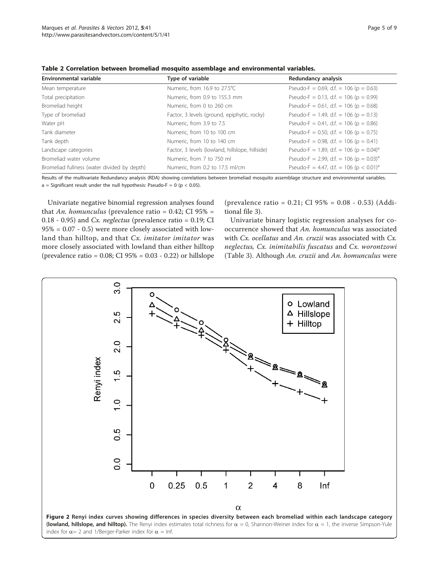| <b>Environmental variable</b>               | Type of variable                                | Redundancy analysis                                     |
|---------------------------------------------|-------------------------------------------------|---------------------------------------------------------|
| Mean temperature                            | Numeric, from 16.9 to 27.5°C                    | Pseudo-F = 0.69, d.f. = 106 ( $p = 0.63$ )              |
| Total precipitation                         | Numeric, from 0.9 to 155.3 mm                   | Pseudo-F = 0.13, d.f. = 106 ( $p = 0.99$ )              |
| Bromeliad height                            | Numeric, from 0 to 260 cm                       | Pseudo-F = $0.61$ , d.f. = $106$ (p = $0.68$ )          |
| Type of bromeliad                           | Factor, 3 levels (ground, epiphytic, rocky)     | Pseudo-F = 1.49, d.f. = 106 ( $p = 0.13$ )              |
| Water pH                                    | Numeric, from 3.9 to 7.5                        | Pseudo-F = $0.41$ , d.f. = 106 (p = 0.86)               |
| Tank diameter                               | Numeric, from 10 to 100 cm                      | Pseudo-F = 0.50, d.f. = 106 ( $p = 0.75$ )              |
| Tank depth                                  | Numeric, from 10 to 140 cm                      | Pseudo-F = 0.98, d.f. = 106 ( $p = 0.41$ )              |
| Landscape categories                        | Factor, 3 levels (lowland, hillslope, hillside) | Pseudo-F = 1.89, d.f. = 106 ( $p = 0.04$ ) <sup>a</sup> |
| Bromeliad water volume                      | Numeric, from 7 to 750 ml                       | Pseudo-F = 2.99, d.f. = 106 ( $p = 0.03$ ) <sup>a</sup> |
| Bromeliad fullness (water divided by depth) | Numeric, from 0.2 to 17.5 ml/cm                 | Pseudo-F = 4.47, d.f. = 106 ( $p < 0.01$ ) <sup>a</sup> |

<span id="page-4-0"></span>Table 2 Correlation between bromeliad mosquito assemblage and environmental variables.

Results of the multivariate Redundancy analysis (RDA) showing correlations between bromeliad mosquito assemblage structure and environmental variables. a = Significant result under the null hypothesis: Pseudo-F = 0 (p < 0.05).

Univariate negative binomial regression analyses found that An. homunculus (prevalence ratio =  $0.42$ ; CI 95% = 0.18 - 0.95) and *Cx. neglectus* (prevalence ratio =  $0.19$ ; CI 95% = 0.07 - 0.5) were more closely associated with lowland than hilltop, and that Cx. imitator imitator was more closely associated with lowland than either hilltop (prevalence ratio =  $0.08$ ; CI 95% =  $0.03 - 0.22$ ) or hillslope

(prevalence ratio = 0.21; CI 95% = 0.08 - 0.53) (Additional file [3](#page-6-0)).

Univariate binary logistic regression analyses for cooccurrence showed that An. homunculus was associated with Cx. ocellatus and An. cruzii was associated with Cx. neglectus, Cx. inimitabilis fuscatus and Cx. worontzowi (Table [3\)](#page-5-0). Although An. cruzii and An. homunculus were

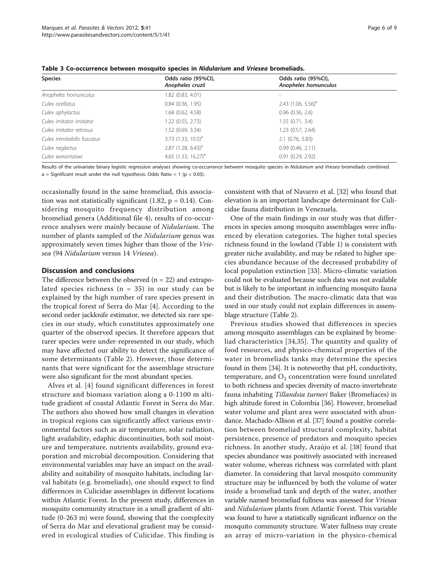| <b>Species</b>              | Odds ratio (95%CI),<br>Anopheles cruzii | Odds ratio (95%CI),<br>Anopheles homunculus |  |
|-----------------------------|-----------------------------------------|---------------------------------------------|--|
| Anopheles homunculus        | 1.82 (0.83, 4.01)                       | $\overline{a}$                              |  |
| Culex ocellatus             | $0.84$ (0.36, 1.95)                     | 2.43 $(1.06, 5.56)^d$                       |  |
| Culex aphylactus            | 1.68 (0.62, 4.58)                       | $0.96$ $(0.36, 2.6)$                        |  |
| Culex imitator imitator     | 1.22 (0.55, 2.73)                       | 1.55(0.71, 3.4)                             |  |
| Culex imitator retrosus     | 1.52(0.69, 3.34)                        | 1.23 (0.57, 2.64)                           |  |
| Culex inimitabilis fuscatus | 3.73 $(1.33, 10.5)^a$                   | $2.1$ (0.76, 5.83)                          |  |
| Culex neglectus             | $2.87$ (1.28, 6.43) <sup>a</sup>        | 0.99(0.46, 2.11)                            |  |
| Culex worontzowi            | 4.65 (1.33, 16.27) <sup>a</sup>         | 0.91(0.29, 2.92)                            |  |

<span id="page-5-0"></span>Table 3 Co-occurrence between mosquito species in Nidularium and Vriesea bromeliads.

Results of the univariate binary logistic regression analyses showing co-occurrence between mosquito species in Nidularium and Vriesea bromeliads combined.

a = Significant result under the null hypothesis: Odds Ratio = 1 (p < 0.05).

occasionally found in the same bromeliad, this association was not statistically significant  $(1.82, p = 0.14)$ . Considering mosquito frequency distribution among bromeliad genera (Additional file [4](#page-7-0)), results of co-occurrence analyses were mainly because of Nidularium. The number of plants sampled of the *Nidularium* genus was approximately seven times higher than those of the Vriesea (94 Nidularium versus 14 Vriesea).

## Discussion and conclusions

The difference between the observed  $(n = 22)$  and extrapolated species richness ( $n = 35$ ) in our study can be explained by the high number of rare species present in the tropical forest of Serra do Mar [[4\]](#page-7-0). According to the second order jackknife estimator, we detected six rare species in our study, which constitutes approximately one quarter of the observed species. It therefore appears that rarer species were under-represented in our study, which may have affected our ability to detect the significance of some determinants (Table [2](#page-4-0)). However, those determinants that were significant for the assemblage structure were also significant for the most abundant species.

Alves et al. [\[4](#page-7-0)] found significant differences in forest structure and biomass variation along a 0-1100 m altitude gradient of coastal Atlantic Forest in Serra do Mar. The authors also showed how small changes in elevation in tropical regions can significantly affect various environmental factors such as air temperature, solar radiation, light availability, edaphic discontinuities, both soil moisture and temperature, nutrients availability, ground evaporation and microbial decomposition. Considering that environmental variables may have an impact on the availability and suitability of mosquito habitats, including larval habitats (e.g. bromeliads), one should expect to find differences in Culicidae assemblages in different locations within Atlantic Forest. In the present study, differences in mosquito community structure in a small gradient of altitude (0-263 m) were found, showing that the complexity of Serra do Mar and elevational gradient may be considered in ecological studies of Culicidae. This finding is consistent with that of Navarro et al. [\[32\]](#page-7-0) who found that elevation is an important landscape determinant for Culicidae fauna distribution in Venezuela.

One of the main findings in our study was that differences in species among mosquito assemblages were influenced by elevation categories. The higher total species richness found in the lowland (Table [1](#page-3-0)) is consistent with greater niche availability, and may be related to higher species abundance because of the decreased probability of local population extinction [[33\]](#page-7-0). Micro-climatic variation could not be evaluated because such data was not available but is likely to be important in influencing mosquito fauna and their distribution. The macro-climatic data that was used in our study could not explain differences in assemblage structure (Table [2\)](#page-4-0).

Previous studies showed that differences in species among mosquito assemblages can be explained by bromeliad characteristics [\[34,35](#page-7-0)]. The quantity and quality of food resources, and physico-chemical properties of the water in bromeliads tanks may determine the species found in them [\[34\]](#page-7-0). It is noteworthy that pH, conductivity, temperature, and  $O_2$  concentration were found unrelated to both richness and species diversity of macro-invertebrate fauna inhabiting Tillandsia turneri Baker (Bromeliaces) in high altitude forest in Colombia [\[36](#page-7-0)]. However, bromeliad water volume and plant area were associated with abundance. Machado-Allison et al. [\[37\]](#page-7-0) found a positive correlation between bromeliad structural complexity, habitat persistence, presence of predators and mosquito species richness. In another study, Araújo et al. [[38](#page-7-0)] found that species abundance was positively associated with increased water volume, whereas richness was correlated with plant diameter. In considering that larval mosquito community structure may be influenced by both the volume of water inside a bromeliad tank and depth of the water, another variable named bromeliad fullness was assessed for Vriesea and Nidularium plants from Atlantic Forest. This variable was found to have a statistically significant influence on the mosquito community structure. Water fullness may create an array of micro-variation in the physico-chemical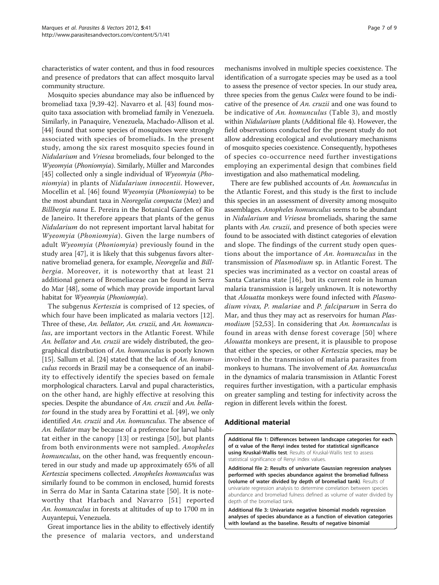<span id="page-6-0"></span>characteristics of water content, and thus in food resources and presence of predators that can affect mosquito larval community structure.

Mosquito species abundance may also be influenced by bromeliad taxa [[9,39-](#page-7-0)[42](#page-8-0)]. Navarro et al. [\[43](#page-8-0)] found mosquito taxa association with bromeliad family in Venezuela. Similarly, in Panaquire, Venezuela, Machado-Allison et al. [[44\]](#page-8-0) found that some species of mosquitoes were strongly associated with species of bromeliads. In the present study, among the six rarest mosquito species found in Nidularium and Vriesea bromeliads, four belonged to the Wyeomyia (Phoniomyia). Similarly, Müller and Marcondes [[45\]](#page-8-0) collected only a single individual of Wyeomyia (Phoniomyia) in plants of Nidularium innocentii. However, Mocellin et al. [\[46](#page-8-0)] found Wyeomyia (Phoniomyia) to be the most abundant taxa in Neoregelia compacta (Mez) and Billbergia nana E. Pereira in the Botanical Garden of Rio de Janeiro. It therefore appears that plants of the genus Nidularium do not represent important larval habitat for Wyeomyia (Phoniomyia). Given the large numbers of adult Wyeomyia (Phoniomyia) previously found in the study area [\[47](#page-8-0)], it is likely that this subgenus favors alternative bromeliad genera, for example, Neoregelia and Billbergia. Moreover, it is noteworthy that at least 21 additional genera of Bromeliaceae can be found in Serra do Mar [[48\]](#page-8-0), some of which may provide important larval habitat for Wyeomyia (Phoniomyia).

The subgenus Kerteszia is comprised of 12 species, of which four have been implicated as malaria vectors [\[12](#page-7-0)]. Three of these, An. bellator, An. cruzii, and An. homunculus, are important vectors in the Atlantic Forest. While An. bellator and An. cruzii are widely distributed, the geographical distribution of An. homunculus is poorly known [[15\]](#page-7-0). Sallum et al. [\[24](#page-7-0)] stated that the lack of An. homunculus records in Brazil may be a consequence of an inability to effectively identify the species based on female morphological characters. Larval and pupal characteristics, on the other hand, are highly effective at resolving this species. Despite the abundance of An. cruzii and An. bellator found in the study area by Forattini et al. [[49](#page-8-0)], we only identified An. cruzii and An. homunculus. The absence of An. bellator may be because of a preference for larval habitat either in the canopy [[13\]](#page-7-0) or restinga [[50\]](#page-8-0), but plants from both environments were not sampled. Anopheles homunculus, on the other hand, was frequently encountered in our study and made up approximately 65% of all Kerteszia specimens collected. Anopheles homunculus was similarly found to be common in enclosed, humid forests in Serra do Mar in Santa Catarina state [[50](#page-8-0)]. It is noteworthy that Harbach and Navarro [[51\]](#page-8-0) reported An. homunculus in forests at altitudes of up to 1700 m in Auyantepui, Venezuela.

Great importance lies in the ability to effectively identify the presence of malaria vectors, and understand identification of a surrogate species may be used as a tool to assess the presence of vector species. In our study area, three species from the genus Culex were found to be indicative of the presence of An. cruzii and one was found to be indicative of An. homunculus (Table [3\)](#page-5-0), and mostly within Nidularium plants (Additional file [4](#page-7-0)). However, the field observations conducted for the present study do not allow addressing ecological and evolutionary mechanisms of mosquito species coexistence. Consequently, hypotheses of species co-occurrence need further investigations employing an experimental design that combines field investigation and also mathematical modeling.

There are few published accounts of An. homunculus in the Atlantic Forest, and this study is the first to include this species in an assessment of diversity among mosquito assemblages. Anopheles homunculus seems to be abundant in Nidularium and Vriesea bromeliads, sharing the same plants with An. cruzii, and presence of both species were found to be associated with distinct categories of elevation and slope. The findings of the current study open questions about the importance of An. homunculus in the transmission of Plasmodium sp. in Atlantic Forest. The species was incriminated as a vector on coastal areas of Santa Catarina state [[16\]](#page-7-0), but its current role in human malaria transmission is largely unknown. It is noteworthy that Alouatta monkeys were found infected with Plasmodium vivax, P. malariae and P. falciparum in Serra do Mar, and thus they may act as reservoirs for human *Plas-*modium [[52,53](#page-8-0)]. In considering that An. homunculus is found in areas with dense forest coverage [[50\]](#page-8-0) where Alouatta monkeys are present, it is plausible to propose that either the species, or other Kerteszia species, may be involved in the transmission of malaria parasites from monkeys to humans. The involvement of An. homunculus in the dynamics of malaria transmission in Atlantic Forest requires further investigation, with a particular emphasis on greater sampling and testing for infectivity across the region in different levels within the forest.

# Additional material

[Additional file 1: D](http://www.biomedcentral.com/content/supplementary/1756-3305-5-41-S1.DOC)ifferences between landscape categories for each of  $\alpha$  value of the Renyi index tested for statistical significance using Kruskal-Wallis test. Results of Kruskal-Wallis test to assess statistical significance of Renyi index values.

[Additional file 2: R](http://www.biomedcentral.com/content/supplementary/1756-3305-5-41-S2.DOC)esults of univariate Gaussian regression analyses performed with species abundance against the bromeliad fullness (volume of water divided by depth of bromeliad tank). Results of univariate regression analysis to determine correlation between species abundance and bromeliad fulness defined as volume of water divided by depth of the bromeliad tank.

[Additional file 3: U](http://www.biomedcentral.com/content/supplementary/1756-3305-5-41-S3.DOC)nivariate negative binomial models regression analyses of species abundance as a function of elevation categories with lowland as the baseline. Results of negative binomial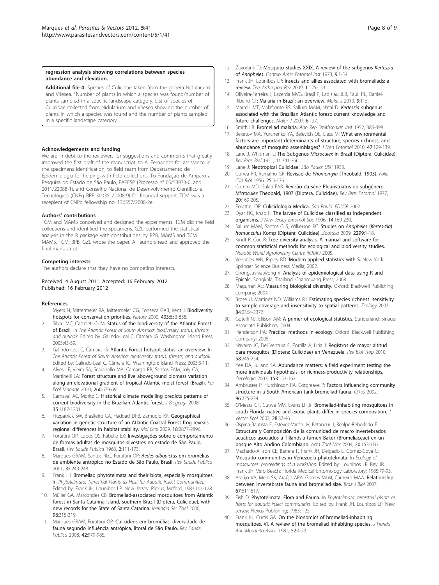#### <span id="page-7-0"></span>regression analysis showing correlations between species abundance and elevation.

[Additional file 4:](http://www.biomedcentral.com/content/supplementary/1756-3305-5-41-S4.DOC) Species of Culicidae taken from the genera Nidularium and Vriesea. \*Number of plants in which a species was found/number of plants sampled in a specific landscape category. List of species of Culicidae collected from Nidularium and Vriesea showing the number of plants in which a species was found and the number of plants sampled in a specific landscape category.

#### Acknowledgements and funding

We are in debt to the reviewers for suggestions and comments that greatly improved the first draft of the manuscript; to A. Fernandes for assistance in the specimens identification; to field team from Departamento de Epidemiologia for helping with field collections. To Fundação de Amparo à Pesquisa do Estado de São Paulo, FAPESP (Processo n° 05/53973-0, and 2011/22088-1), and Conselho Nacional de Desenvolvimento Científico e Tecnológico (CNPq BPP 300351/2008-9) for financial support. TCM was a recepient of CNPq fellowship no. 136557/2008-2e.

#### Authors' contributions

TCM and MAMS conceived and designed the experiments. TCM did the field collections and identified the specimens. GZL performed the statistical analysis in the R package with contributions by BPB, MAMS and TCM. MAMS, TCM, BPB, GZL wrote the paper. All authors read and approved the final manuscript.

#### Competing interests

The authors declare that they have no competing interests.

Received: 4 August 2011 Accepted: 16 February 2012 Published: 16 February 2012

#### References

- Myers N, Mittermeier RA, Mittermeier CG, Fonseca GAB, Kent J: [Biodiversity](http://www.ncbi.nlm.nih.gov/pubmed/10706275?dopt=Abstract) [hotspots for conservation priorities.](http://www.ncbi.nlm.nih.gov/pubmed/10706275?dopt=Abstract) Nature 2000, 403:853-858.
- Silva JMC, Casteleti CHM: Status of the biodiversity of the Atlantic Forest of Brazil. In The Atlantic Forest of South America: biodiversity status, threats, and outlook. Edited by: Galindo-Leal C, Câmara IG. Washington: Island Press; 2003:43-59.
- 3. Galindo-Leal C, Câmara IG: Atlantic Forest hotspot status: an overview. In The Atlantic Forest of South America: biodiversity status, threats, and outlook. Edited by: Galindo-Leal C, Câmara IG. Washington: Island Press; 2003:3-11.
- 4. Alves LF, Vieira SA, Scaranello MA, Camargo PB, Santos FAM, Joly CA, Martinelli LA: Forest structure and live aboveground biomass variation along an elevational gradient of tropical Atlantic moist forest (Brazil). For Ecol Manage 2010, 260:679-691.
- Carnaval AC, Moritz C: Historical climate modelling predicts patterns of current biodiversity in the Brazilian Atlantic forest. J Biogeogr 2008, 35:1187-1201.
- 6. Fitzpatrick SW, Brasileiro CA, Haddad DFB, Zamudio KR: [Geographical](http://www.ncbi.nlm.nih.gov/pubmed/19500257?dopt=Abstract) [variation in genetic structure of an Atlantic Coastal Forest frog reveals](http://www.ncbi.nlm.nih.gov/pubmed/19500257?dopt=Abstract) [regional differences in habitat stability.](http://www.ncbi.nlm.nih.gov/pubmed/19500257?dopt=Abstract) Mol Ecol 2009, 18:2877-2896.
- 7. Forattini OP, Lopes OS, Rabello EX: [Investigações sobre o comportamento](http://www.ncbi.nlm.nih.gov/pubmed/5709516?dopt=Abstract) [de formas adultas de mosquitos silvestres no estado de São Paulo,](http://www.ncbi.nlm.nih.gov/pubmed/5709516?dopt=Abstract) [Brasil.](http://www.ncbi.nlm.nih.gov/pubmed/5709516?dopt=Abstract) Rev Saude Publica 1968, 2:111-173.
- Marques GRAM, Santos RLC, Forattini OP: [Aedes albopictus](http://www.ncbi.nlm.nih.gov/pubmed/11486146?dopt=Abstract) em bromélias [de ambiente antrópico no Estado de Säo Paulo, Brasil.](http://www.ncbi.nlm.nih.gov/pubmed/11486146?dopt=Abstract) Rev Saude Publica 2001, 35:243-248.
- Frank JH: Bromeliad phytotelmata and their biota, especially mosquitoes. In Phytotelmata: Terrestrial Plants as Host for Aquatic Insect Communities. Edited by: Frank JH, Lounibos LP. New Jersey: Plexus, Meford; 1983:101-128.
- Müller GA, Marcondes CB: Bromeliad-associated mosquitoes from Atlantic forest in Santa Catarina Island, southern Brazil (Diptera, Culicidae), with new records for the State of Santa Catarina. Iheringia Ser Zool 2006, 96:315-319.
- 11. Marques GRAM, Forattini OP: [Culicídeos em bromélias: diversidade de](http://www.ncbi.nlm.nih.gov/pubmed/19009155?dopt=Abstract) [fauna segundo influência antrópica, litoral de São Paulo.](http://www.ncbi.nlm.nih.gov/pubmed/19009155?dopt=Abstract) Rev Saude Publica 2008, 42:979-985.
- 12. Zavortink TJ: Mosquito studies XXIX. A review of the subgenus Kerteszia of Anopheles. Contrib Amer Entomol Inst 1973, 9:1-54.
- 13. Frank JH, Lounibos LP: [Insects and allies associated with bromeliads: a](http://www.ncbi.nlm.nih.gov/pubmed/20209047?dopt=Abstract) [review.](http://www.ncbi.nlm.nih.gov/pubmed/20209047?dopt=Abstract) Terr Arthropod Rev 2009, 1:125-153.
- 14. Oliveira-Ferreira J, Lacerda MVG, Brasil P, Ladislau JLB, Tauil PL, Daniel-Ribeiro CT: [Malaria in Brazil: an overview.](http://www.ncbi.nlm.nih.gov/pubmed/20433744?dopt=Abstract) Malar J 2010, 9:115.
- 15. Marrelli MT, Malafronte RS, Sallum MAM, Natal D: Kerteszia [subgenus](http://www.ncbi.nlm.nih.gov/pubmed/17880709?dopt=Abstract) [associated with the Brazilian Atlantic forest: current knowledge and](http://www.ncbi.nlm.nih.gov/pubmed/17880709?dopt=Abstract) [future challenges.](http://www.ncbi.nlm.nih.gov/pubmed/17880709?dopt=Abstract) Malar J 2007, 6:127.
- 16. Smith LB: Bromeliad malaria. Ann Rep Smithsonian Inst 1952, 385-398.
- 17. Beketov MA, Yurchenko YA, Belevich OE, Liess M: [What environmental](http://www.ncbi.nlm.nih.gov/pubmed/20380292?dopt=Abstract) [factors are important determinants of structure, species richness, and](http://www.ncbi.nlm.nih.gov/pubmed/20380292?dopt=Abstract) [abundance of mosquito assemblages?](http://www.ncbi.nlm.nih.gov/pubmed/20380292?dopt=Abstract) J Med Entomol 2010, 47:129-139.
- 18. Lane J, Whitman L: The Subgenus Microculex in Brazil (Diptera, Culicidae). Rev Bras Biol 1951, 11:341-366.
- 19. Lane J: [Neotropical Culicidae.](http://www.ncbi.nlm.nih.gov/pubmed/22355820?dopt=Abstract) São Paulo: USP 1953.
- 20. Correa RR, Ramalho GR: Revisão de Phoniomyia (Theobald, 1903). Folia Clin Biol 1956, 25:5-176.
- 21. Cotrim MD, Galati EAB: Revisão da série Pleuristriatus do subgênero Microculex Theobald, 1907 (Diptera, Culicidae). Rev Bras Entomol 1977, 20:169-205.
- 22. Forattini OP: [Culicidologia Médica.](http://www.ncbi.nlm.nih.gov/pubmed/22355820?dopt=Abstract) São Paulo: EDUSP 2002.
- 23. Dyar HG, Knab F: The larvae of Culicidae classified as independent organisms. J New Jersey Entomol Soc 1906, 14:169-230.
- 24. Sallum MAM, Santos CLS, Wilkerson RC: Studies on Anopheles (Kertes-zia) homunculus Komp (Diptera: Culicidae). Zootaxa 2009, 2299:1-18.
- 25. Kindt R, Coe R: Tree diversity analysis. A manual and software for common statistical methods for ecological and biodiversity studies. Nairobi: World Agroforestry Centre (ICRAF) 2005.
- 26. Venables WN, Ripley BD: Modern applied statistics with S. New York: Springer Science Business Media; 2002.
- 27. Chongsuvivatwong V: Analysis of epidemiological data using R and Epicalc. Songkhla, Thailand: Chanmuang Press; 2008.
- 28. Magurran AE: Measuring biological diversity. Oxford: Blackwell Publishing company; 2004.
- 29. Brose U, Martinez ND, Williams RJ: Estimating species richness: sensitivity to sample coverage and insensitivity to spatial patterns. Ecology 2003, 84:2364-2377.
- 30. Gotelli NJ, Ellison AM: A primer of ecological statistics. Sunderland: Sinauer Associate Publishers; 2004.
- 31. Henderson PA: Practical methods in ecology. Oxford: Blackwell Publishing Company; 2006.
- 32. Navarro JC, Del Ventura F, Zorrilla A, Liria J: [Registros de mayor altitud](http://www.ncbi.nlm.nih.gov/pubmed/20411719?dopt=Abstract) [para mosquitos \(Diptera: Culicidae\) en Venezuela.](http://www.ncbi.nlm.nih.gov/pubmed/20411719?dopt=Abstract) Rev Biol Trop 2010, 58:245-254.
- 33. Yee DA, Juliano SA: [Abundance matters: a field experiment testing the](http://www.ncbi.nlm.nih.gov/pubmed/17401581?dopt=Abstract) [more individuals hypothesis for richness-productivity relationships.](http://www.ncbi.nlm.nih.gov/pubmed/17401581?dopt=Abstract) Oecologia 2007, 153:153-162.
- 34. Ambruster P, Hutchinson RA, Cotgreave P: Factors influencing community structure in a South American tank bromeliad fauna. Oikos 2002, 96:225-234.
- 35. O'Meara GF, Cutwa MM, Evans LF Jr: [Bromeliad-inhabiting mosquitoes in](http://www.ncbi.nlm.nih.gov/pubmed/12831127?dopt=Abstract) [south Florida: native and exotic plants differ in species composition.](http://www.ncbi.nlm.nih.gov/pubmed/12831127?dopt=Abstract) J Vector Ecol 2003, 28:37-46.
- 36. Ospina-Bautista F, Estévez-Varón JV, Betancur J, Realpe-Rebolledo E: Estructura y Composición de la comunidad de macro invertebrados acuáticos asociados a Tillandsia turneri Baker (Bromeliaceae) en un bosque Alto Andino Colombiano. Acta Zool Mex 2004, 20:153-166.
- 37. Machado-Allison CE, Barrera R, Frank JH, Delgado L, Gomez-Cova C: Mosquito communities in Venezuela phytotelmata. In Ecology of mosquitoes: proceedings of a workshop. Edited by: Lounibos LP, Rey JR, Frank JH. Vero Beach: Florida Medical Entomology Laboratory; 1985:79-93.
- 38. Araújo VA, Melo SK, Araújo APA, Gomes MLM, Carneiro MAA: [Relationship](http://www.ncbi.nlm.nih.gov/pubmed/18278311?dopt=Abstract) [between invertebrate fauna and bromeliad size.](http://www.ncbi.nlm.nih.gov/pubmed/18278311?dopt=Abstract) Braz J Biol 2007, 67:611-617.
- 39. Fish D: Phytotelmata: Flora and Fauna. In Phytotelmata: terrestrial plants as hosts for aquatic insect communities. Edited by: Frank JH, Lounibos LP. New Jersey: Plexus Publishing; 1983:1-25.
- 40. Frank JH, Curtis GA: On the bionomics of bromeliad-inhabiting mosquitoes. VI. A review of the bromeliad inhabiting species. J Florida Anti-Mosquito Assoc 1981, 52:4-23.